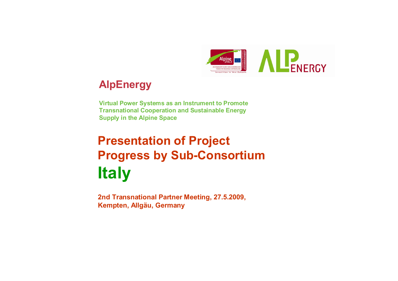

## **AlpEnergy**

**Virtual Power Systems as an Instrument to Promote Transnational Cooperation and Sustainable Energy Supply in the Alpine Space**

## **Presentation of Project Progress by Sub-Consortium Italy**

**2nd Transnational Partner Meeting, 27.5.2009, Kempten, Allgäu, Germany**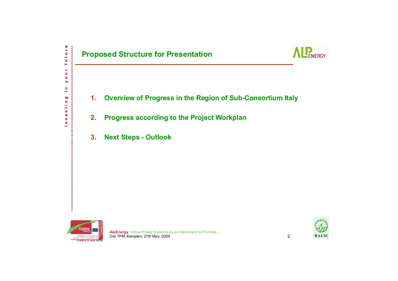

- **1.Overview of Progress in the Region of Sub-Consortium Italy**
- **2.Progress according to the Project Workplan**
- **3.Next Steps - Outlook**



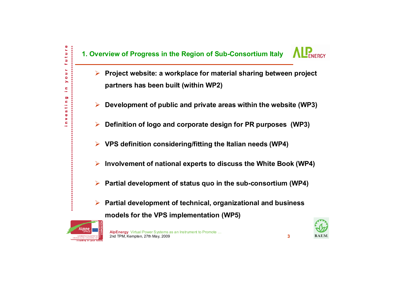

- ¾ **Project website: a workplace for material sharing between project partners has been built (within WP2)**
- ¾**Development of public and private areas within the website (WP3)**
- ¾**Definition of logo and corporate design for PR purposes (WP3)**
- $\blacktriangleright$ **VPS definition considering/fitting the Italian needs (WP4)**
- $\blacktriangleright$ **Involvement of national experts to discuss the White Book (WP4)**
- $\blacktriangleright$ **Partial development of status quo in the sub-consortium (WP4)**
- ¾ **Partial development of technical, organizational and business models for the VPS implementation (WP5)**



 $\mathbf{e}$ Ē Б ĥ, Ь  $\bullet$ > c ÷ Ō) c ÷ فيها S Ф > c



**3**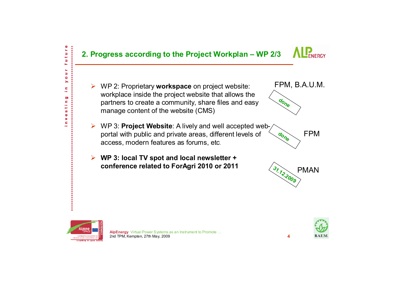



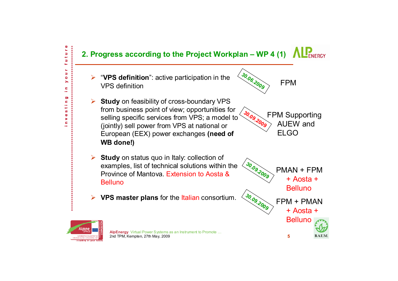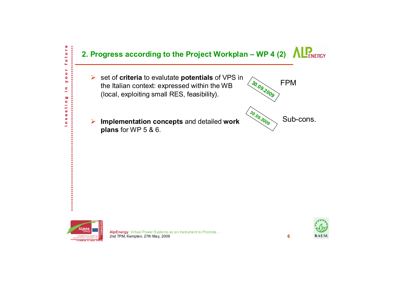



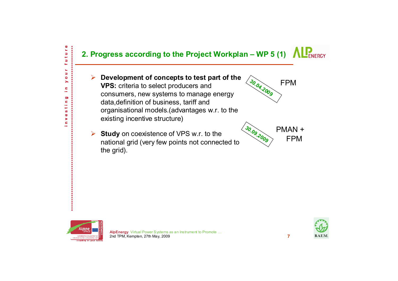

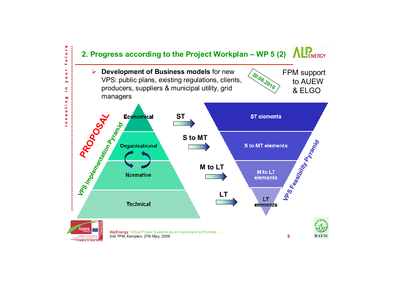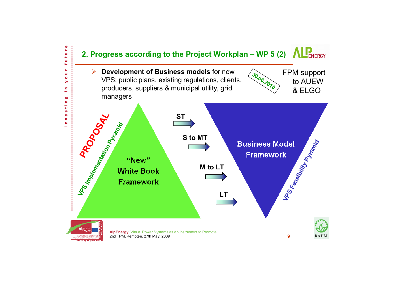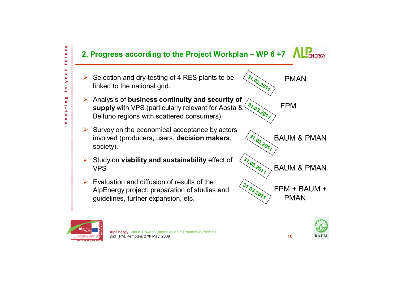



uture

÷ ш ь  $\bullet$ ⋋  $\blacksquare$ ÷ Ō) c  $\overline{a}$ ميد ဖာ  $\pmb{\Phi}$ × c



**10**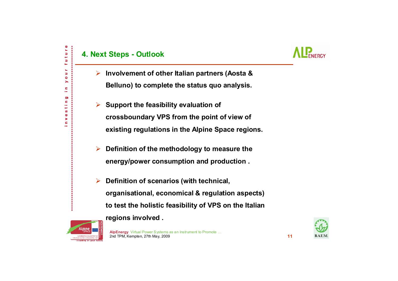## **4. Next Steps - Outlook**



 $\blacktriangleright$  **Involvement of other Italian partners (Aosta & Belluno) to complete the status quo analysis.**

- $\blacktriangleright$  **Support the feasibility evaluation of crossboundary VPS from the point of view of existing regulations in the Alpine Space regions.**
- ¾ **Definition of the methodology to measure the energy/power consumption and production .**
- ¾ **Definition of scenarios (with technical, organisational, economical & regulation aspects) to test the holistic feasibility of VPS on the Italian regions involved .**





**11**